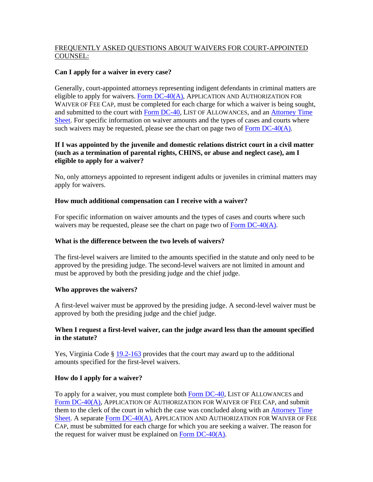# FREQUENTLY ASKED QUESTIONS ABOUT WAIVERS FOR COURT-APPOINTED COUNSEL:

# **Can I apply for a waiver in every case?**

Generally, court-appointed attorneys representing indigent defendants in criminal matters are eligible to apply for waivers. Form  $DC-40(A)$ , APPLICATION AND AUTHORIZATION FOR WAIVER OF FEE CAP, must be completed for each charge for which a waiver is being sought, and submitted to the court with [Form DC-40](http://www.courts.state.va.us/forms/district/dc40.pdf), LIST OF ALLOWANCES, and an [Attorney Time](http://www.courts.state.va.us/forms/district/ctappt_counsel_time_sheet.pdf)  [Sheet.](http://www.courts.state.va.us/forms/district/ctappt_counsel_time_sheet.pdf) For specific information on waiver amounts and the types of cases and courts where such waivers may be requested, please see the chart on page two of Form  $DC-40(A)$ .

# **If I was appointed by the juvenile and domestic relations district court in a civil matter (such as a termination of parental rights, CHINS, or abuse and neglect case), am I eligible to apply for a waiver?**

No, only attorneys appointed to represent indigent adults or juveniles in criminal matters may apply for waivers.

# **How much additional compensation can I receive with a waiver?**

For specific information on waiver amounts and the types of cases and courts where such waivers may be requested, please see the chart on page two of Form DC-40(A).

#### **What is the difference between the two levels of waivers?**

The first-level waivers are limited to the amounts specified in the statute and only need to be approved by the presiding judge. The second-level waivers are not limited in amount and must be approved by both the presiding judge and the chief judge.

#### **Who approves the waivers?**

A first-level waiver must be approved by the presiding judge. A second-level waiver must be approved by both the presiding judge and the chief judge.

### **When I request a first-level waiver, can the judge award less than the amount specified in the statute?**

Yes, Virginia Code § [19.2-163](http://leg1.state.va.us/cgi-bin/legp504.exe?000+cod+19.2-163) provides that the court may award up to the additional amounts specified for the first-level waivers.

# **How do I apply for a waiver?**

To apply for a waiver, you must complete both [Form DC-40](http://www.courts.state.va.us/forms/district/dc40.pdf), LIST OF ALLOWANCES and [Form DC-40\(A\)](http://www.courts.state.va.us/forms/district/dc40a.pdf), APPLICATION OF AUTHORIZATION FOR WAIVER OF FEE CAP, and submit them to the clerk of the court in which the case was concluded along with an [Attorney Time](http://www.courts.state.va.us/forms/district/ctappt_counsel_time_sheet.pdf)  [Sheet.](http://www.courts.state.va.us/forms/district/ctappt_counsel_time_sheet.pdf) A separate [Form DC-40\(A\)](http://www.courts.state.va.us/forms/district/dc40a.pdf), APPLICATION AND AUTHORIZATION FOR WAIVER OF FEE CAP, must be submitted for each charge for which you are seeking a waiver. The reason for the request for waiver must be explained on Form  $DC-40(A)$ .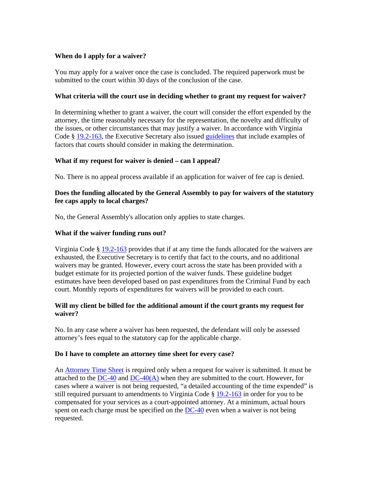# **When do I apply for a waiver?**

You may apply for a waiver once the case is concluded. The required paperwork must be submitted to the court within 30 days of the conclusion of the case.

#### **What criteria will the court use in deciding whether to grant my request for waiver?**

In determining whether to grant a waiver, the court will consider the effort expended by the attorney, the time reasonably necessary for the representation, the novelty and difficulty of the issues, or other circumstances that may justify a waiver. In accordance with Virginia Code § [19.2-163,](http://leg1.state.va.us/cgi-bin/legp504.exe?000+cod+19.2-163) the Executive Secretary also issued [guidelines](http://www.courts.state.va.us/forms/district/statutory_criteria_fee_cap_waiver_guidelines.pdf) that include examples of factors that courts should consider in making the determination.

# **What if my request for waiver is denied – can I appeal?**

No. There is no appeal process available if an application for waiver of fee cap is denied.

### **Does the funding allocated by the General Assembly to pay for waivers of the statutory fee caps apply to local charges?**

No, the General Assembly's allocation only applies to state charges.

### **What if the waiver funding runs out?**

Virginia Code § [19.2-163](http://leg1.state.va.us/cgi-bin/legp504.exe?000+cod+19.2-163) provides that if at any time the funds allocated for the waivers are exhausted, the Executive Secretary is to certify that fact to the courts, and no additional waivers may be granted. However, every court across the state has been provided with a budget estimate for its projected portion of the waiver funds. These guideline budget estimates have been developed based on past expenditures from the Criminal Fund by each court. Monthly reports of expenditures for waivers will be provided to each court.

### **Will my client be billed for the additional amount if the court grants my request for waiver?**

No. In any case where a waiver has been requested, the defendant will only be assessed attorney's fees equal to the statutory cap for the applicable charge.

# **Do I have to complete an attorney time sheet for every case?**

An [Attorney Time Sheet](http://www.courts.state.va.us/forms/district/ctappt_counsel_time_sheet.pdf) is required only when a request for waiver is submitted. It must be attached to the  $DC-40$  and  $DC-40(A)$  when they are submitted to the court. However, for cases where a waiver is not being requested, "a detailed accounting of the time expended" is still required pursuant to amendments to Virginia Code § [19.2-163](http://leg1.state.va.us/cgi-bin/legp504.exe?000+cod+19.2-163) in order for you to be compensated for your services as a court-appointed attorney. At a minimum, actual hours spent on each charge must be specified on the [DC-40](http://www.courts.state.va.us/forms/district/dc40.pdf) even when a waiver is not being requested.